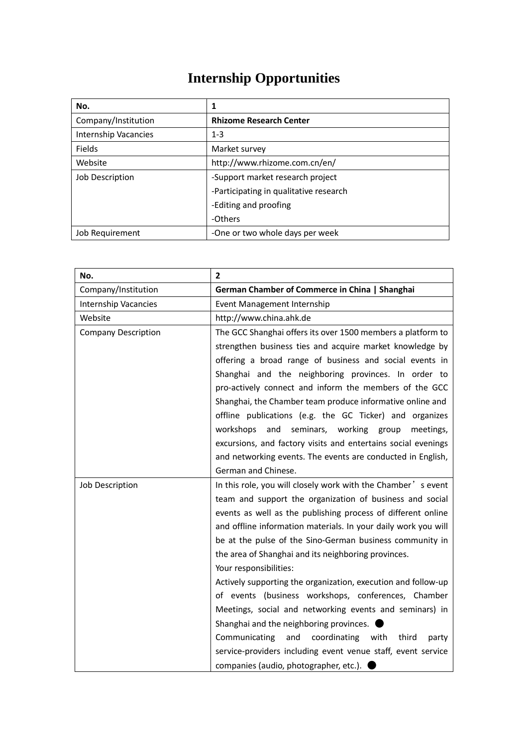## **Internship Opportunities**

| No.                         | 1                                      |
|-----------------------------|----------------------------------------|
| Company/Institution         | <b>Rhizome Research Center</b>         |
| <b>Internship Vacancies</b> | $1 - 3$                                |
| Fields                      | Market survey                          |
| Website                     | http://www.rhizome.com.cn/en/          |
| Job Description             | -Support market research project       |
|                             | -Participating in qualitative research |
|                             | -Editing and proofing                  |
|                             | -Others                                |
| Job Requirement             | -One or two whole days per week        |

| No.                         | $\overline{2}$                                                 |
|-----------------------------|----------------------------------------------------------------|
| Company/Institution         | German Chamber of Commerce in China   Shanghai                 |
| <b>Internship Vacancies</b> | Event Management Internship                                    |
| Website                     | http://www.china.ahk.de                                        |
| <b>Company Description</b>  | The GCC Shanghai offers its over 1500 members a platform to    |
|                             | strengthen business ties and acquire market knowledge by       |
|                             | offering a broad range of business and social events in        |
|                             | Shanghai and the neighboring provinces. In order to            |
|                             | pro-actively connect and inform the members of the GCC         |
|                             | Shanghai, the Chamber team produce informative online and      |
|                             | offline publications (e.g. the GC Ticker) and organizes        |
|                             | workshops<br>and<br>seminars, working group<br>meetings,       |
|                             | excursions, and factory visits and entertains social evenings  |
|                             | and networking events. The events are conducted in English,    |
|                             | German and Chinese.                                            |
| <b>Job Description</b>      | In this role, you will closely work with the Chamber's event   |
|                             | team and support the organization of business and social       |
|                             | events as well as the publishing process of different online   |
|                             | and offline information materials. In your daily work you will |
|                             | be at the pulse of the Sino-German business community in       |
|                             | the area of Shanghai and its neighboring provinces.            |
|                             | Your responsibilities:                                         |
|                             | Actively supporting the organization, execution and follow-up  |
|                             | of events (business workshops, conferences, Chamber            |
|                             | Meetings, social and networking events and seminars) in        |
|                             | Shanghai and the neighboring provinces.                        |
|                             | Communicating<br>and<br>coordinating<br>with third<br>party    |
|                             | service-providers including event venue staff, event service   |
|                             | companies (audio, photographer, etc.).                         |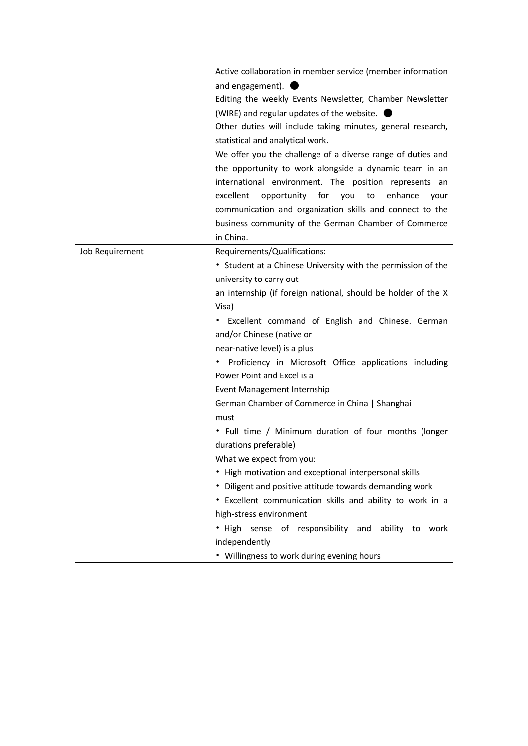|                 | Active collaboration in member service (member information    |
|-----------------|---------------------------------------------------------------|
|                 | and engagement).                                              |
|                 | Editing the weekly Events Newsletter, Chamber Newsletter      |
|                 | (WIRE) and regular updates of the website. (                  |
|                 | Other duties will include taking minutes, general research,   |
|                 | statistical and analytical work.                              |
|                 | We offer you the challenge of a diverse range of duties and   |
|                 | the opportunity to work alongside a dynamic team in an        |
|                 | international environment. The position represents an         |
|                 | excellent<br>opportunity for you<br>to<br>enhance<br>your     |
|                 | communication and organization skills and connect to the      |
|                 | business community of the German Chamber of Commerce          |
|                 | in China.                                                     |
| Job Requirement | Requirements/Qualifications:                                  |
|                 | • Student at a Chinese University with the permission of the  |
|                 | university to carry out                                       |
|                 | an internship (if foreign national, should be holder of the X |
|                 | Visa)                                                         |
|                 | • Excellent command of English and Chinese. German            |
|                 | and/or Chinese (native or                                     |
|                 | near-native level) is a plus                                  |
|                 | Proficiency in Microsoft Office applications including        |
|                 | Power Point and Excel is a                                    |
|                 | Event Management Internship                                   |
|                 | German Chamber of Commerce in China   Shanghai                |
|                 | must                                                          |
|                 | • Full time / Minimum duration of four months (longer         |
|                 | durations preferable)                                         |
|                 | What we expect from you:                                      |
|                 | • High motivation and exceptional interpersonal skills        |
|                 | • Diligent and positive attitude towards demanding work       |
|                 | • Excellent communication skills and ability to work in a     |
|                 | high-stress environment                                       |
|                 | . High sense of responsibility and ability to work            |
|                 | independently                                                 |
|                 | • Willingness to work during evening hours                    |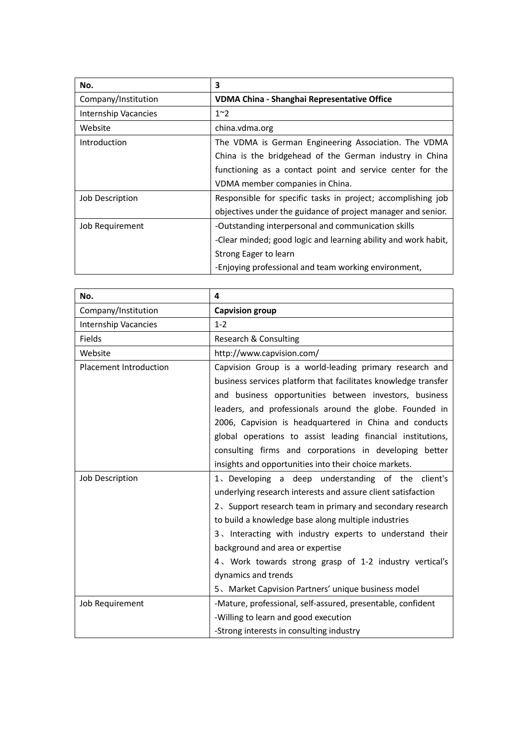| No.                  | 3                                                              |
|----------------------|----------------------------------------------------------------|
| Company/Institution  | VDMA China - Shanghai Representative Office                    |
| Internship Vacancies | $1^{\sim}2$                                                    |
| Website              | china.vdma.org                                                 |
| Introduction         | The VDMA is German Engineering Association. The VDMA           |
|                      | China is the bridgehead of the German industry in China        |
|                      | functioning as a contact point and service center for the      |
|                      | VDMA member companies in China.                                |
| Job Description      | Responsible for specific tasks in project; accomplishing job   |
|                      | objectives under the guidance of project manager and senior.   |
| Job Requirement      | -Outstanding interpersonal and communication skills            |
|                      | -Clear minded; good logic and learning ability and work habit, |
|                      | Strong Eager to learn                                          |
|                      | -Enjoying professional and team working environment,           |

| No.                           | 4                                                              |
|-------------------------------|----------------------------------------------------------------|
| Company/Institution           | <b>Capvision group</b>                                         |
| <b>Internship Vacancies</b>   | $1 - 2$                                                        |
| Fields                        | Research & Consulting                                          |
| Website                       | http://www.capvision.com/                                      |
| <b>Placement Introduction</b> | Capvision Group is a world-leading primary research and        |
|                               | business services platform that facilitates knowledge transfer |
|                               | and business opportunities between investors, business         |
|                               | leaders, and professionals around the globe. Founded in        |
|                               | 2006, Capvision is headquartered in China and conducts         |
|                               | global operations to assist leading financial institutions,    |
|                               | consulting firms and corporations in developing better         |
|                               | insights and opportunities into their choice markets.          |
| Job Description               | 1. Developing a deep understanding of the client's             |
|                               | underlying research interests and assure client satisfaction   |
|                               | 2. Support research team in primary and secondary research     |
|                               | to build a knowledge base along multiple industries            |
|                               | 3. Interacting with industry experts to understand their       |
|                               | background and area or expertise                               |
|                               | 4. Work towards strong grasp of 1-2 industry vertical's        |
|                               | dynamics and trends                                            |
|                               | 5、Market Capvision Partners' unique business model             |
| Job Requirement               | -Mature, professional, self-assured, presentable, confident    |
|                               | -Willing to learn and good execution                           |
|                               | -Strong interests in consulting industry                       |